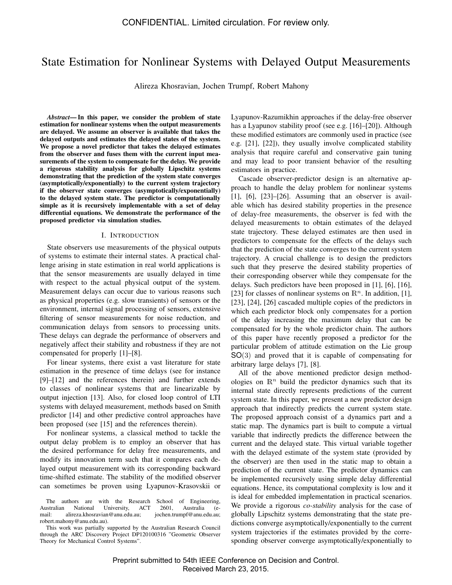# State Estimation for Nonlinear Systems with Delayed Output Measurements

Alireza Khosravian, Jochen Trumpf, Robert Mahony

*Abstract*— In this paper, we consider the problem of state estimation for nonlinear systems when the output measurements are delayed. We assume an observer is available that takes the delayed outputs and estimates the delayed states of the system. We propose a novel predictor that takes the delayed estimates from the observer and fuses them with the current input measurements of the system to compensate for the delay. We provide a rigorous stability analysis for globally Lipschitz systems demonstrating that the prediction of the system state converges (asymptotically/exponentially) to the current system trajectory if the observer state converges (asymptotically/exponentially) to the delayed system state. The predictor is computationally simple as it is recursively implementable with a set of delay differential equations. We demonstrate the performance of the proposed predictor via simulation studies.

#### I. INTRODUCTION

State observers use measurements of the physical outputs of systems to estimate their internal states. A practical challenge arising in state estimation in real world applications is that the sensor measurements are usually delayed in time with respect to the actual physical output of the system. Measurement delays can occur due to various reasons such as physical properties (e.g. slow transients) of sensors or the environment, internal signal processing of sensors, extensive filtering of sensor measurements for noise reduction, and communication delays from sensors to processing units. These delays can degrade the performance of observers and negatively affect their stability and robustness if they are not compensated for properly [1]–[8].

For linear systems, there exist a vast literature for state estimation in the presence of time delays (see for instance [9]–[12] and the references therein) and further extends to classes of nonlinear systems that are linearizable by output injection [13]. Also, for closed loop control of LTI systems with delayed measurement, methods based on Smith predictor [14] and other predictive control approaches have been proposed (see [15] and the references therein).

For nonlinear systems, a classical method to tackle the output delay problem is to employ an observer that has the desired performance for delay free measurements, and modify its innovation term such that it compares each delayed output measurement with its corresponding backward time-shifted estimate. The stability of the modified observer can sometimes be proven using Lyapunov-Krasovskii or Lyapunov-Razumikhin approaches if the delay-free observer has a Lyapunov stability proof (see e.g. [16]–[20]). Although these modified estimators are commonly used in practice (see e.g. [21], [22]), they usually involve complicated stability analysis that require careful and conservative gain tuning and may lead to poor transient behavior of the resulting estimators in practice.

Cascade observer-predictor design is an alternative approach to handle the delay problem for nonlinear systems  $[1]$ ,  $[6]$ ,  $[23]$ – $[26]$ . Assuming that an observer is available which has desired stability properties in the presence of delay-free measurements, the observer is fed with the delayed measurements to obtain estimates of the delayed state trajectory. These delayed estimates are then used in predictors to compensate for the effects of the delays such that the prediction of the state converges to the current system trajectory. A crucial challenge is to design the predictors such that they preserve the desired stability properties of their corresponding observer while they compensate for the delays. Such predictors have been proposed in [1], [6], [16], [23] for classes of nonlinear systems on  $\mathbb{R}^n$ . In addition, [1], [23], [24], [26] cascaded multiple copies of the predictors in which each predictor block only compensates for a portion of the delay increasing the maximum delay that can be compensated for by the whole predictor chain. The authors of this paper have recently proposed a predictor for the particular problem of attitude estimation on the Lie group SO(3) and proved that it is capable of compensating for arbitrary large delays [7], [8].

All of the above mentioned predictor design methodologies on  $\mathbb{R}^n$  build the predictor dynamics such that its internal state directly represents predictions of the current system state. In this paper, we present a new predictor design approach that indirectly predicts the current system state. The proposed approach consist of a dynamics part and a static map. The dynamics part is built to compute a virtual variable that indirectly predicts the difference between the current and the delayed state. This virtual variable together with the delayed estimate of the system state (provided by the observer) are then used in the static map to obtain a prediction of the current state. The predictor dynamics can be implemented recursively using simple delay differential equations. Hence, its computational complexity is low and it is ideal for embedded implementation in practical scenarios. We provide a rigorous *co-stability* analysis for the case of globally Lipschitz systems demonstrating that the state predictions converge asymptotically/exponentially to the current system trajectories if the estimates provided by the corresponding observer converge asymptotically/exponentially to

The authors are with the Research School of Engineering,<br>Australian National University, ACT 2601, Australia (e-Australian National University, ACT 2601, Australia (ealireza.khosravian@anu.edu.au; robert.mahony@anu.edu.au).

This work was partially supported by the Australian Research Council through the ARC Discovery Project DP120100316 "Geometric Observer Theory for Mechanical Control Systems".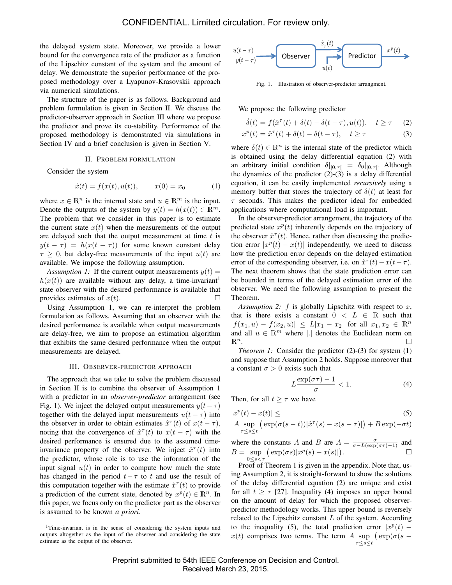the delayed system state. Moreover, we provide a lower bound for the convergence rate of the predictor as a function of the Lipschitz constant of the system and the amount of delay. We demonstrate the superior performance of the proposed methodology over a Lyapunov-Krasovskii approach via numerical simulations.

The structure of the paper is as follows. Background and problem formulation is given in Section II. We discuss the predictor-observer approach in Section III where we propose the predictor and prove its co-stability. Performance of the proposed methodology is demonstrated via simulations in Section IV and a brief conclusion is given in Section V.

#### II. PROBLEM FORMULATION

Consider the system

$$
\dot{x}(t) = f(x(t), u(t)), \qquad x(0) = x_0 \tag{1}
$$

where  $x \in \mathbb{R}^n$  is the internal state and  $u \in \mathbb{R}^m$  is the input. Denote the outputs of the system by  $y(t) = h(x(t)) \in \mathbb{R}^m$ . The problem that we consider in this paper is to estimate the current state  $x(t)$  when the measurements of the output are delayed such that the output measurement at time  $t$  is  $y(t - \tau) = h(x(t - \tau))$  for some known constant delay  $\tau \geq 0$ , but delay-free measurements of the input  $u(t)$  are available. We impose the following assumption.

*Assumption 1:* If the current output measurements  $y(t) =$  $h(x(t))$  are available without any delay, a time-invariant<sup>1</sup> state observer with the desired performance is available that provides estimates of  $x(t)$ .

Using Assumption 1, we can re-interpret the problem formulation as follows. Assuming that an observer with the desired performance is available when output measurements are delay-free, we aim to propose an estimation algorithm that exhibits the same desired performance when the output measurements are delayed.

#### III. OBSERVER-PREDICTOR APPROACH

The approach that we take to solve the problem discussed in Section II is to combine the observer of Assumption 1 with a predictor in an *observer-predictor* arrangement (see Fig. 1). We inject the delayed output measurements  $y(t-\tau)$ together with the delayed input measurements  $u(t - \tau)$  into the observer in order to obtain estimates  $\hat{x}^{\tau}(t)$  of  $x(t-\tau)$ , noting that the convergence of  $\hat{x}^{\tau}(t)$  to  $x(t-\tau)$  with the desired performance is ensured due to the assumed timeinvariance property of the observer. We inject  $\hat{x}^{\tau}(t)$  into the predictor, whose role is to use the information of the input signal  $u(t)$  in order to compute how much the state has changed in the period  $t-\tau$  to t and use the result of this computation together with the estimate  $\hat{x}^{\tau}(t)$  to provide a prediction of the current state, denoted by  $x^p(t) \in \mathbb{R}^n$ . In this paper, we focus only on the predictor part as the observer is assumed to be known *a priori*.

<sup>1</sup>Time-invariant is in the sense of considering the system inputs and outputs altogether as the input of the observer and considering the state estimate as the output of the observer.



Fig. 1. Illustration of observer-predictor arrangment.

We propose the following predictor

$$
\dot{\delta}(t) = f(\hat{x}^{\tau}(t) + \delta(t) - \delta(t - \tau), u(t)), \quad t \ge \tau \quad (2)
$$
  

$$
x^{p}(t) = \hat{x}^{\tau}(t) + \delta(t) - \delta(t - \tau), \quad t \ge \tau \quad (3)
$$

$$
(t) = \hat{x}^{\tau}(t) + \delta(t) - \delta(t - \tau), \quad t \ge \tau
$$
 (3)

where  $\delta(t) \in \mathbb{R}^n$  is the internal state of the predictor which is obtained using the delay differential equation (2) with an arbitrary initial condition  $\delta|_{[0,\tau[} = \delta_0|_{[0,\tau[}$ . Although the dynamics of the predictor  $(2)-(3)$  is a delay differential equation, it can be easily implemented *recursively* using a memory buffer that stores the trajectory of  $\delta(t)$  at least for  $\tau$  seconds. This makes the predictor ideal for embedded applications where computational load is important.

In the observer-predictor arrangement, the trajectory of the predicted state  $x^p(t)$  inherently depends on the trajectory of the observer  $\hat{x}^{\tau}(t)$ . Hence, rather than discussing the prediction error  $|x^p(t) - x(t)|$  independently, we need to discuss how the prediction error depends on the delayed estimation error of the corresponding observer, i.e. on  $\hat{x}^{\tau}(t) - x(t-\tau)$ . The next theorem shows that the state prediction error can be bounded in terms of the delayed estimation error of the observer. We need the following assumption to present the Theorem.

*Assumption 2:*  $f$  is globally Lipschitz with respect to  $x$ , that is there exists a constant  $0 < L \in \mathbb{R}$  such that  $|f(x_1, u) - f(x_2, u)| \le L|x_1 - x_2|$  for all  $x_1, x_2 \in \mathbb{R}^n$ and all  $u \in \mathbb{R}^m$  where |.| denotes the Euclidean norm on  $\mathbb{R}^n$ .

*Theorem 1:* Consider the predictor (2)-(3) for system (1) and suppose that Assumption 2 holds. Suppose moreover that a constant  $\sigma > 0$  exists such that

$$
L\frac{\exp(\sigma\tau) - 1}{\sigma} < 1. \tag{4}
$$

Then, for all  $t \geq \tau$  we have

$$
|x^{p}(t) - x(t)| \leq \tag{5}
$$
  
\n
$$
A \sup_{\tau \leq s \leq t} \left( \exp(\sigma(s-t)) |\hat{x}^{\tau}(s) - x(s-\tau)| \right) + B \exp(-\sigma t)
$$

where the constants A and B are  $A = \frac{\sigma}{\sigma - L(\exp(\sigma \tau) - 1)}$  and  $B = \sup_{s \to s} (\exp(\sigma s) |x^p(s) - x(s)|).$  $0 < s < \tau$ 

Proof of Theorem 1 is given in the appendix. Note that, using Assumption 2, it is straight-forward to show the solutions of the delay differential equation (2) are unique and exist for all  $t \geq \tau$  [27]. Inequality (4) imposes an upper bound on the amount of delay for which the proposed observerpredictor methodology works. This upper bound is reversely related to the Lipschitz constant  $L$  of the system. According to the inequality (5), the total prediction error  $|x^p(t)$  –  $x(t)$  comprises two terms. The term A sup  $(\exp(\sigma(s$ τ≤s≤t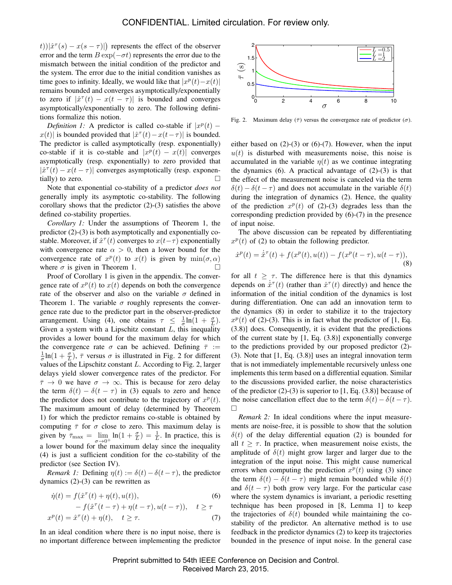$(t)|\hat{x}^{\tau}(s) - x(s - \tau)|$  represents the effect of the observer error and the term  $B \exp(-\sigma t)$  represents the error due to the mismatch between the initial condition of the predictor and the system. The error due to the initial condition vanishes as time goes to infinity. Ideally, we would like that  $|x^p(t) - x(t)|$ remains bounded and converges asymptotically/exponentially to zero if  $|\hat{x}^{\tau}(t) - x(t - \tau)|$  is bounded and converges asymptotically/exponentially to zero. The following definitions formalize this notion.

*Definition 1:* A predictor is called co-stable if  $|x^p(t)$  –  $x(t)$  is bounded provided that  $|\hat{x}^{\tau}(t) - x(t-\tau)|$  is bounded. The predictor is called asymptotically (resp. exponentially) co-stable if it is co-stable and  $|x^p(t) - x(t)|$  converges asymptotically (resp. exponentially) to zero provided that  $|\hat{x}^{\tau}(t) - x(t - \tau)|$  converges asymptotically (resp. exponentially) to zero.

Note that exponential co-stability of a predictor *does not* generally imply its asymptotic co-stability. The following corollary shows that the predictor (2)-(3) satisfies the above defined co-stability properties.

*Corollary 1:* Under the assumptions of Theorem 1, the predictor (2)-(3) is both asymptotically and exponentially costable. Moreover, if  $\hat{x}^{\tau}(t)$  converges to  $x(t-\tau)$  exponentially with convergence rate  $\alpha > 0$ , then a lower bound for the convergence rate of  $x^p(t)$  to  $x(t)$  is given by  $\min(\sigma, \alpha)$ where  $\sigma$  is given in Theorem 1.

Proof of Corollary 1 is given in the appendix. The convergence rate of  $x^p(t)$  to  $x(t)$  depends on both the convergence rate of the observer and also on the variable  $\sigma$  defined in Theorem 1. The variable  $\sigma$  roughly represents the convergence rate due to the predictor part in the observer-predictor arrangement. Using (4), one obtains  $\tau \leq \frac{1}{\sigma} \ln(1 + \frac{\sigma}{L})$ . Given a system with a Lipschitz constant  $L$ , this inequality provides a lower bound for the maximum delay for which the convergence rate  $\sigma$  can be achieved. Defining  $\bar{\tau}$  :=  $\frac{1}{\sigma}$ ln(1 +  $\frac{\sigma}{L}$ ),  $\bar{\tau}$  versus  $\sigma$  is illustrated in Fig. 2 for different values of the Lipschitz constant L. According to Fig. 2, larger delays yield slower convergence rates of the predictor. For  $\bar{\tau} \to 0$  we have  $\sigma \to \infty$ . This is because for zero delay the term  $\delta(t) - \delta(t - \tau)$  in (3) equals to zero and hence the predictor does not contribute to the trajectory of  $x^p(t)$ . The maximum amount of delay (determined by Theorem 1) for which the predictor remains co-stable is obtained by computing  $\bar{\tau}$  for  $\sigma$  close to zero. This maximum delay is given by  $\bar{\tau}_{\text{max}} = \lim_{\sigma \to 0^+} \ln(1 + \frac{\sigma}{L}) = \frac{1}{L}$ . In practice, this is a lower bound for the maximum delay since the inequality (4) is just a sufficient condition for the co-stability of the predictor (see Section IV).

*Remark 1:* Defining  $\eta(t) := \delta(t) - \delta(t - \tau)$ , the predictor dynamics (2)-(3) can be rewritten as

$$
\dot{\eta}(t) = f(\hat{x}^{\tau}(t) + \eta(t), u(t)),
$$
\n
$$
- f(\hat{x}^{\tau}(t-\tau) + \eta(t-\tau), u(t-\tau)), \quad t \ge \tau
$$
\n
$$
x^{p}(t) = \hat{x}^{\tau}(t) + \eta(t), \quad t \ge \tau.
$$
\n(7)

In an ideal condition where there is no input noise, there is no important difference between implementing the predictor



Fig. 2. Maximum delay  $(\bar{\tau})$  versus the convergence rate of predictor  $(\sigma)$ .

either based on  $(2)-(3)$  or  $(6)-(7)$ . However, when the input  $u(t)$  is disturbed with measurements noise, this noise is accumulated in the variable  $n(t)$  as we continue integrating the dynamics  $(6)$ . A practical advantage of  $(2)-(3)$  is that the effect of the measurement noise is canceled via the term  $\delta(t) - \delta(t - \tau)$  and does not accumulate in the variable  $\delta(t)$ during the integration of dynamics (2). Hence, the quality of the prediction  $x^p(t)$  of (2)-(3) degrades less than the corresponding prediction provided by (6)-(7) in the presence of input noise.

The above discussion can be repeated by differentiating  $x^p(t)$  of (2) to obtain the following predictor.

$$
\dot{x}^p(t) = \dot{\hat{x}}^{\tau}(t) + f(x^p(t), u(t)) - f(x^p(t-\tau), u(t-\tau)),
$$
\n(8)

for all  $t \geq \tau$ . The difference here is that this dynamics depends on  $\dot{x}^{\tau}(t)$  (rather than  $\hat{x}^{\tau}(t)$  directly) and hence the information of the initial condition of the dynamics is lost during differentiation. One can add an innovation term to the dynamics (8) in order to stabilize it to the trajectory  $x^p(t)$  of (2)-(3). This is in fact what the predictor of [1, Eq. (3.8)] does. Consequently, it is evident that the predictions of the current state by [1, Eq. (3.8)] exponentially converge to the predictions provided by our proposed predictor (2)- (3). Note that [1, Eq. (3.8)] uses an integral innovation term that is not immediately implementable recursively unless one implements this term based on a differential equation. Similar to the discussions provided earlier, the noise characteristics of the predictor  $(2)-(3)$  is superior to [1, Eq.  $(3.8)$ ] because of the noise cancellation effect due to the term  $\delta(t) - \delta(t - \tau)$ .  $\Box$ 

*Remark 2:* In ideal conditions where the input measurements are noise-free, it is possible to show that the solution  $\delta(t)$  of the delay differential equation (2) is bounded for all  $t \geq \tau$ . In practice, when measurement noise exists, the amplitude of  $\delta(t)$  might grow larger and larger due to the integration of the input noise. This might cause numerical errors when computing the prediction  $x^p(t)$  using (3) since the term  $\delta(t) - \delta(t - \tau)$  might remain bounded while  $\delta(t)$ and  $\delta(t - \tau)$  both grow very large. For the particular case where the system dynamics is invariant, a periodic resetting technique has been proposed in [8, Lemma 1] to keep the trajectories of  $\delta(t)$  bounded while maintaining the costability of the predictor. An alternative method is to use feedback in the predictor dynamics (2) to keep its trajectories bounded in the presence of input noise. In the general case

Preprint submitted to 54th IEEE Conference on Decision and Control. Received March 23, 2015.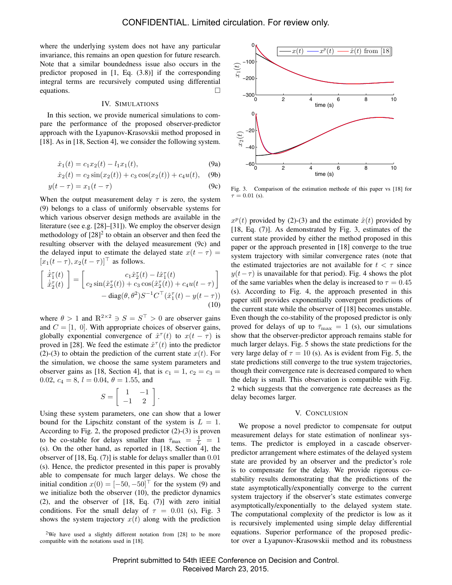where the underlying system does not have any particular invariance, this remains an open question for future research. Note that a similar boundedness issue also occurs in the predictor proposed in [1, Eq. (3.8)] if the corresponding integral terms are recursively computed using differential equations.  $\Box$ 

## IV. SIMULATIONS

In this section, we provide numerical simulations to compare the performance of the proposed observer-predictor approach with the Lyapunov-Krasovskii method proposed in [18]. As in [18, Section 4], we consider the following system.

$$
\dot{x}_1(t) = c_1 x_2(t) - l_1 x_1(t), \tag{9a}
$$

$$
\dot{x}_2(t) = c_2 \sin(x_2(t)) + c_3 \cos(x_2(t)) + c_4 u(t), \quad (9b)
$$

$$
y(t - \tau) = x_1(t - \tau) \tag{9c}
$$

When the output measurement delay  $\tau$  is zero, the system (9) belongs to a class of uniformly observable systems for which various observer design methods are available in the literature (see e.g. [28]–[31]). We employ the observer design methodology of  $[28]^2$  to obtain an observer and then feed the resulting observer with the delayed measurement (9c) and the delayed input to estimate the delayed state  $x(t - \tau) =$  $[x_1(t - \tau), x_2(t - \tau)]^{\top}$  as follows.

$$
\begin{bmatrix}\n\dot{\hat{x}}_1^{\tau}(t) \\
\dot{\hat{x}}_2^{\tau}(t)\n\end{bmatrix} = \begin{bmatrix}\nc_1 \hat{x}_2^{\tau}(t) - l \hat{x}_1^{\tau}(t) \\
c_2 \sin(\hat{x}_2^{\tau}(t)) + c_3 \cos(\hat{x}_2^{\tau}(t)) + c_4 u(t - \tau)\n\end{bmatrix} - \text{diag}(\theta, \theta^2) S^{-1} C^{\top}(\hat{x}_1^{\tau}(t) - y(t - \tau))
$$
\n(10)

where  $\theta > 1$  and  $\mathbb{R}^{2 \times 2} \ni S = S^{\top} > 0$  are observer gains and  $C = [1, 0]$ . With appropriate choices of observer gains, globally exponential convergence of  $\hat{x}^{\tau}(t)$  to  $x(t-\tau)$  is proved in [28]. We feed the estimate  $\hat{x}^{\tau}(t)$  into the predictor (2)-(3) to obtain the prediction of the current state  $x(t)$ . For the simulation, we choose the same system parameters and observer gains as [18, Section 4], that is  $c_1 = 1$ ,  $c_2 = c_3$  = 0.02,  $c_4 = 8$ ,  $l = 0.04$ ,  $\theta = 1.55$ , and

$$
S = \left[ \begin{array}{cc} 1 & -1 \\ -1 & 2 \end{array} \right]
$$

.

Using these system parameters, one can show that a lower bound for the Lipschitz constant of the system is  $L = 1$ . According to Fig. 2, the proposed predictor (2)-(3) is proven to be co-stable for delays smaller than  $\bar{\tau}_{\text{max}} = \frac{1}{L} = 1$ (s). On the other hand, as reported in [18, Section 4], the observer of [18, Eq. (7)] is stable for delays smaller than 0.01 (s). Hence, the predictor presented in this paper is provably able to compensate for much larger delays. We chose the initial condition  $x(0) = [-50, -50]^\top$  for the system (9) and we initialize both the observer (10), the predictor dynamics (2), and the observer of [18, Eq. (7)] with zero initial conditions. For the small delay of  $\tau = 0.01$  (s), Fig. 3 shows the system trajectory  $x(t)$  along with the prediction



Fig. 3. Comparison of the estimation methode of this paper vs [18] for  $\tau = 0.01$  (s).

 $x^p(t)$  provided by (2)-(3) and the estimate  $\hat{x}(t)$  provided by [18, Eq. (7)]. As demonstrated by Fig. 3, estimates of the current state provided by either the method proposed in this paper or the approach presented in [18] converge to the true system trajectory with similar convergence rates (note that the estimated trajectories are not available for  $t < \tau$  since  $y(t-\tau)$  is unavailable for that period). Fig. 4 shows the plot of the same variables when the delay is increased to  $\tau = 0.45$ (s). According to Fig. 4, the approach presented in this paper still provides exponentially convergent predictions of the current state while the observer of [18] becomes unstable. Even though the co-stability of the proposed predictor is only proved for delays of up to  $\bar{\tau}_{\text{max}} = 1$  (s), our simulations show that the observer-predictor approach remains stable for much larger delays. Fig. 5 shows the state predictions for the very large delay of  $\tau = 10$  (s). As is evident from Fig. 5, the state predictions still converge to the true system trajectories, though their convergence rate is decreased compared to when the delay is small. This observation is compatible with Fig. 2 which suggests that the convergence rate decreases as the delay becomes larger.

## V. CONCLUSION

We propose a novel predictor to compensate for output measurement delays for state estimation of nonlinear systems. The predictor is employed in a cascade observerpredictor arrangement where estimates of the delayed system state are provided by an observer and the predictor's role is to compensate for the delay. We provide rigorous costability results demonstrating that the predictions of the state asymptotically/exponentially converge to the current system trajectory if the observer's state estimates converge asymptotically/exponentially to the delayed system state. The computational complexity of the predictor is low as it is recursively implemented using simple delay differential equations. Superior performance of the proposed predictor over a Lyapunov-Krasowskii method and its robustness

<sup>2</sup>We have used a slightly different notation from [28] to be more compatible with the notations used in [18].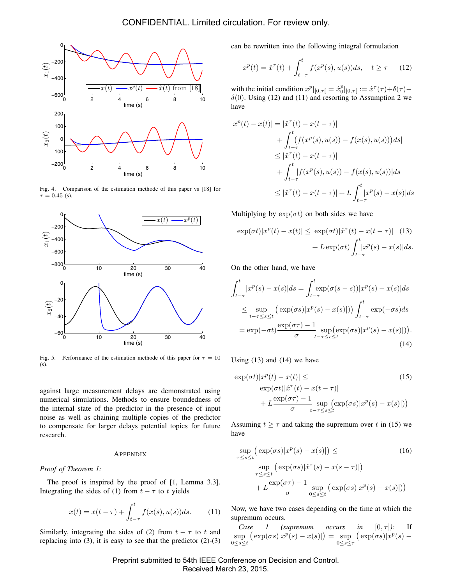

Fig. 4. Comparison of the estimation methode of this paper vs [18] for  $\tau = 0.45$  (s).



Fig. 5. Performance of the estimation methode of this paper for  $\tau = 10$ (s).

against large measurement delays are demonstrated using numerical simulations. Methods to ensure boundedness of the internal state of the predictor in the presence of input noise as well as chaining multiple copies of the predictor to compensate for larger delays potential topics for future research.

# **APPENDIX**

*Proof of Theorem 1:*

The proof is inspired by the proof of [1, Lemma 3.3]. Integrating the sides of (1) from  $t - \tau$  to t yields

$$
x(t) = x(t - \tau) + \int_{t-\tau}^{t} f(x(s), u(s))ds.
$$
 (11)

Similarly, integrating the sides of (2) from  $t - \tau$  to t and replacing into  $(3)$ , it is easy to see that the predictor  $(2)-(3)$  can be rewritten into the following integral formulation

$$
x^{p}(t) = \hat{x}^{\tau}(t) + \int_{t-\tau}^{t} f(x^{p}(s), u(s))ds, \quad t \ge \tau \quad (12)
$$

with the initial condition  $x^p|_{[0,\tau]} = \hat{x}_0^p|_{[0,\tau]} := \hat{x}^\tau(\tau) + \delta(\tau) \delta(0)$ . Using (12) and (11) and resorting to Assumption 2 we have

$$
|x^{p}(t) - x(t)| = |\hat{x}^{\tau}(t) - x(t - \tau)|
$$
  
+ 
$$
\int_{t-\tau}^{t} (f(x^{p}(s), u(s)) - f(x(s), u(s))) ds|
$$
  

$$
\leq |\hat{x}^{\tau}(t) - x(t - \tau)|
$$
  
+ 
$$
\int_{t-\tau}^{t} |f(x^{p}(s), u(s)) - f(x(s), u(s))| ds
$$
  

$$
\leq |\hat{x}^{\tau}(t) - x(t - \tau)| + L \int_{t-\tau}^{t} |x^{p}(s) - x(s)| ds
$$

Multiplying by  $\exp(\sigma t)$  on both sides we have

$$
\exp(\sigma t)|x^p(t) - x(t)| \le \exp(\sigma t)|\hat{x}^\tau(t) - x(t-\tau)| \quad (13)
$$

$$
+ L \exp(\sigma t) \int_{t-\tau}^t |x^p(s) - x(s)| ds.
$$

On the other hand, we have

$$
\int_{t-\tau}^{t} |x^p(s) - x(s)| ds = \int_{t-\tau}^{t} \exp(\sigma(s-s)) |x^p(s) - x(s)| ds
$$
  
\n
$$
\leq \sup_{t-\tau \leq s \leq t} \left( \exp(\sigma s) |x^p(s) - x(s)| \right) \int_{t-\tau}^{t} \exp(-\sigma s) ds
$$
  
\n
$$
= \exp(-\sigma t) \frac{\exp(\sigma \tau) - 1}{\sigma} \sup_{t-\tau \leq s \leq t} \left( \exp(\sigma s) |x^p(s) - x(s)| \right).
$$
\n(14)

Using  $(13)$  and  $(14)$  we have

$$
\exp(\sigma t)|x^p(t) - x(t)| \le \qquad (15)
$$
  
\n
$$
\exp(\sigma t)|\hat{x}^{\tau}(t) - x(t - \tau)|
$$
  
\n
$$
+ L \frac{\exp(\sigma \tau) - 1}{\sigma} \sup_{t - \tau \le s \le t} (\exp(\sigma s)|x^p(s) - x(s)|))
$$

Assuming  $t \geq \tau$  and taking the supremum over t in (15) we have

$$
\sup_{\tau \le s \le t} (\exp(\sigma s)|x^p(s) - x(s)|) \le \tag{16}
$$
\n
$$
\sup_{\tau \le s \le t} (\exp(\sigma s)|\hat{x}^\tau(s) - x(s - \tau)|)
$$
\n
$$
+ L \frac{\exp(\sigma \tau) - 1}{\sigma} \sup_{0 \le s \le t} (\exp(\sigma s)|x^p(s) - x(s)|))
$$

Now, we have two cases depending on the time at which the supremum occurs.

*Case* 1 (supremum occurs in  $[0, \tau]$ ): If  $\sup \left( \exp(\sigma s) | x^p(s) - x(s) | \right)$ 0≤s≤t  $=$  sup  $(\exp(\sigma s)|x^p(s) -$ 0≤s≤τ

Preprint submitted to 54th IEEE Conference on Decision and Control. Received March 23, 2015.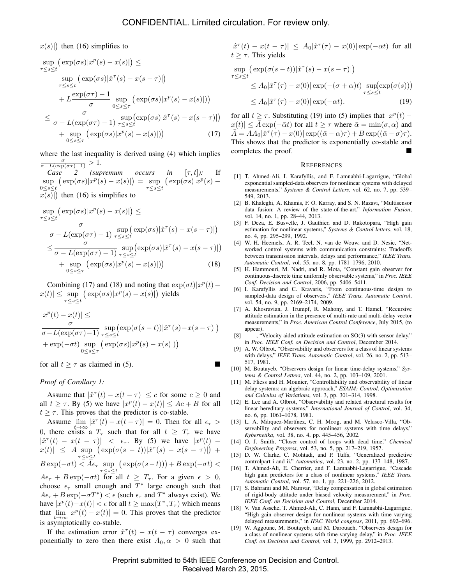$x(s)$ ) then (16) simplifies to

$$
\sup_{\tau \le s \le t} \left( \exp(\sigma s) |x^p(s) - x(s)| \right) \le
$$
\n
$$
\sup_{\tau \le s \le t} \left( \exp(\sigma s) |\hat{x}^\tau(s) - x(s - \tau)| \right)
$$
\n
$$
+ L \frac{\exp(\sigma \tau) - 1}{\sigma} \sup_{0 \le s \le \tau} \left( \exp(\sigma s) |x^p(s) - x(s)| \right)
$$
\n
$$
\le \frac{\sigma}{\sigma - L(\exp(\sigma \tau) - 1)} \sup_{\tau \le s \le t} \left( \exp(\sigma s) |\hat{x}^\tau(s) - x(s - \tau)| \right)
$$
\n
$$
+ \sup_{0 \le s \le \tau} \left( \exp(\sigma s) |x^p(s) - x(s)| \right) \tag{17}
$$

where the last inequality is derived using (4) which implies  $\frac{\sigma}{\sigma - L(\exp(\sigma \tau) - 1)} > 1.$ 

*Case 2 (supremum occurs in* [τ, t]*):* If  $\sup_{s \leq s \leq t} (\exp(\sigma s) | x^p(s) - x(s) |) = \sup_{\tau \leq s \leq t}$ 0≤s≤t  $(\exp(\sigma s)|x^p(s)$  $x(s)$ ) then (16) is simplifies to

$$
\sup_{\tau \le s \le t} \left( \exp(\sigma s) |x^p(s) - x(s)| \right) \le
$$
\n
$$
\frac{\sigma}{\sigma - L(\exp(\sigma \tau) - 1)} \sup_{\tau \le s \le t} \left( \exp(\sigma s) | \hat{x}^\tau(s) - x(s - \tau) | \right)
$$
\n
$$
\le \frac{\sigma}{\sigma - L(\exp(\sigma \tau) - 1)} \sup_{\tau \le s \le t} \left( \exp(\sigma s) | \hat{x}^\tau(s) - x(s - \tau) | \right)
$$
\n
$$
+ \sup \left( \exp(\sigma s) | x^p(s) - x(s) | \right) \right) \tag{18}
$$

$$
+\sup_{0\leq s\leq \tau} \left( \exp(\sigma s) |x^{\nu}(s) - x(s)| \right) \tag{18}
$$

Combining (17) and (18) and noting that  $\exp(\sigma t)|x^p(t) |x(t)| \leq \sup_{s \to s} (\exp(\sigma s) |x^p(s) - x(s)|)$  yields  $\tau \leq s \leq t$ 

$$
|x^{p}(t) - x(t)| \leq \frac{\sigma}{\sigma - L(\exp(\sigma\tau) - 1)} \sup_{\tau \leq s \leq t} (\exp(\sigma(s - t))|\hat{x}^{\tau}(s) - x(s - \tau)|)
$$
  
+ 
$$
\exp(-\sigma t) \sup_{0 \leq s \leq \tau} (\exp(\sigma s)|x^{p}(s) - x(s)|))
$$

for all  $t \geq \tau$  as claimed in (5).

# *Proof of Corollary 1:*

Assume that  $|\hat{x}^{\tau}(t) - x(t - \tau)| \leq c$  for some  $c \geq 0$  and all  $t \geq \tau$ . By (5) we have  $|x^p(t) - x(t)| \leq Ac + B$  for all  $t \geq \tau$ . This proves that the predictor is co-stable.

Assume  $\lim_{t \to \infty} |\hat{x}^{\tau}(t) - x(t - \tau)| = 0$ . Then for all  $\epsilon_{\tau} >$ 0, there exists a  $T_{\tau}$  such that for all  $t \geq T_{\tau}$  we have  $|\hat{x}^{\tau}(t) - x(t - \tau)|$  <  $\epsilon_{\tau}$ . By (5) we have  $|x^p(t)$  $x(t)$   $\leq$  A sup  $(\exp(\sigma(s-t))|\hat{x}^{\tau}(s) - x(s-\tau)|) +$  $\tau \leq s \leq t$  $B \exp(-\sigma t) < A\epsilon_{\tau} \sup_{\tau \leq s \leq t}$  $(\exp(\sigma(s-t))) + B \exp(-\sigma t)$  $A\epsilon_{\tau} + B \exp(-\sigma t)$  for all  $t \geq T_{\tau}$ . For a given  $\epsilon > 0$ , choose  $\epsilon_{\tau}$  small enough and  $T^*$  large enough such that  $A\epsilon_{\tau} + B \exp(-\sigma T^*) < \epsilon$  (such  $\epsilon_{\tau}$  and  $T^*$  always exist). We have  $|x^p(t) - x(t)| < \epsilon$  for all  $t \ge \max(T^*, T_\tau)$  which means that  $\lim_{t\to\infty} |x^p(t) - x(t)| = 0$ . This proves that the predictor is asymptotically co-stable.

If the estimation error  $\hat{x}^{\tau}(t) - x(t - \tau)$  converges exponentially to zero then there exist  $A_0, \alpha > 0$  such that

 $|\hat{x}^{\tau}(t) - x(t-\tau)| \leq A_0 |\hat{x}^{\tau}(\tau) - x(0)| \exp(-\alpha t)$  for all  $t \geq \tau$ . This yields

$$
\sup_{\tau \le s \le t} \left( \exp(\sigma(s-t)) |\hat{x}^{\tau}(s) - x(s-\tau)| \right)
$$
  
\n
$$
\le A_0 |\hat{x}^{\tau}(\tau) - x(0)| \exp(-(\sigma + \alpha)t) \sup_{\tau \le s \le t} \exp(\sigma(s))
$$
  
\n
$$
\le A_0 |\hat{x}^{\tau}(\tau) - x(0)| \exp(-\alpha t). \tag{19}
$$

for all  $t \geq \tau$ . Substituting (19) into (5) implies that  $|x^p(t) |x(t)| \leq A \exp(-\bar{\alpha}t)$  for all  $t \geq \tau$  where  $\bar{\alpha} = \min(\sigma, \alpha)$  and  $\bar{A} = AA_0 |\hat{x}^\tau(\tau) - x(0)| \exp((\bar{\alpha} - \alpha)\tau) + B \exp((\bar{\alpha} - \sigma)\tau).$ This shows that the predictor is exponentially co-stable and completes the proof.

#### **REFERENCES**

- [1] T. Ahmed-Ali, I. Karafyllis, and F. Lamnabhi-Lagarrigue, "Global exponential sampled-data observers for nonlinear systems with delayed measurements," *Systems & Control Letters*, vol. 62, no. 7, pp. 539– 549, 2013.
- [2] B. Khaleghi, A. Khamis, F. O. Karray, and S. N. Razavi, "Multisensor data fusion: A review of the state-of-the-art," *Information Fusion*, vol. 14, no. 1, pp. 28–44, 2013.
- [3] F. Deza, E. Busvelle, J. Gauthier, and D. Rakotopara, "High gain estimation for nonlinear systems," *Systems & Control letters*, vol. 18, no. 4, pp. 295–299, 1992.
- [4] W. H. Heemels, A. R. Teel, N. van de Wouw, and D. Nesic, "Networked control systems with communication constraints: Tradeoffs between transmission intervals, delays and performance," *IEEE Trans. Automatic Control*, vol. 55, no. 8, pp. 1781–1796, 2010.
- [5] H. Hammouri, M. Nadri, and R. Mota, "Constant gain observer for continuous-discrete time uniformly observable systems," in *Proc. IEEE Conf. Decision and Control*, 2006, pp. 5406–5411.
- [6] I. Karafyllis and C. Kravaris, "From continuous-time design to sampled-data design of observers," *IEEE Trans. Automatic Control*, vol. 54, no. 9, pp. 2169–2174, 2009.
- [7] A. Khosravian, J. Trumpf, R. Mahony, and T. Hamel, "Recursive attitude estimation in the presence of multi-rate and multi-delay vector measurements," in *Proc. American Control Conference*, July 2015, (to appear).
- [8] —, "Velocity aided attitude estimation on SO(3) with sensor delay," in *Proc. IEEE Conf. on Decision and Control*, December 2014.
- [9] A. W. Olbrot, "Observability and observers for a class of linear systems with delays," *IEEE Trans. Automatic Control*, vol. 26, no. 2, pp. 513– 517, 1981.
- [10] M. Boutayeb, "Observers design for linear time-delay systems," *Systems & Control Letters*, vol. 44, no. 2, pp. 103–109, 2001.
- [11] M. Fliess and H. Mounier, "Controllability and observability of linear delay systems: an algebraic approach," *ESAIM: Control, Optimisation and Calculus of Variations*, vol. 3, pp. 301–314, 1998.
- [12] E. Lee and A. Olbrot, "Observability and related structural results for linear hereditary systems," *International Journal of Control*, vol. 34, no. 6, pp. 1061–1078, 1981.
- [13] L. A. Márquez-Martínez, C. H. Moog, and M. Velasco-Villa, "Observability and observers for nonlinear systems with time delays," *Kybernetika*, vol. 38, no. 4, pp. 445–456, 2002.
- [14] O. J. Smith, "Closer control of loops with dead time," *Chemical Engineering Progress*, vol. 53, no. 5, pp. 217–219, 1957.
- [15] D. W. Clarke, C. Mohtadi, and P. Tuffs, "Generalized predictive controlpart i and ii," *Automatica*, vol. 23, no. 2, pp. 137–148, 1987.
- [16] T. Ahmed-Ali, E. Cherrier, and F. Lamnabhi-Lagarrigue, "Cascade high gain predictors for a class of nonlinear systems," *IEEE Trans. Automatic Control*, vol. 57, no. 1, pp. 221–226, 2012.
- [17] S. Bahrami and M. Namvar, "Delay compensation in global estimation of rigid-body attitude under biased velocity measurement," in *Proc. IEEE Conf. on Decision and Control*, December 2014.
- [18] V. Van Assche, T. Ahmed-Ali, C. Hann, and F. Lamnabhi-Lagarrigue, "High gain observer design for nonlinear systems with time varying delayed measurements," in *IFAC World congress*, 2011, pp. 692–696.
- [19] W. Aggoune, M. Boutayeb, and M. Darouach, "Observers design for a class of nonlinear systems with time-varying delay," in *Proc. IEEE Conf. on Decision and Control*, vol. 3, 1999, pp. 2912–2913.

Preprint submitted to 54th IEEE Conference on Decision and Control. Received March 23, 2015.